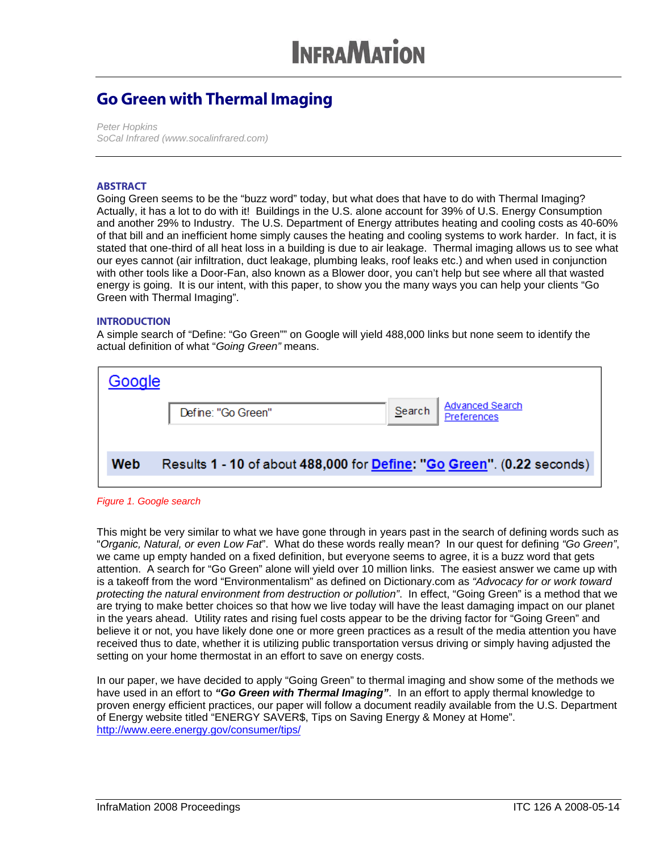### Go Green with Thermal Imaging

*Peter Hopkins SoCal Infrared (www.socalinfrared.com)* 

### **ABSTRACT**

Going Green seems to be the "buzz word" today, but what does that have to do with Thermal Imaging? Actually, it has a lot to do with it! Buildings in the U.S. alone account for 39% of U.S. Energy Consumption and another 29% to Industry. The U.S. Department of Energy attributes heating and cooling costs as 40-60% of that bill and an inefficient home simply causes the heating and cooling systems to work harder. In fact, it is stated that one-third of all heat loss in a building is due to air leakage. Thermal imaging allows us to see what our eyes cannot (air infiltration, duct leakage, plumbing leaks, roof leaks etc.) and when used in conjunction with other tools like a Door-Fan, also known as a Blower door, you can't help but see where all that wasted energy is going. It is our intent, with this paper, to show you the many ways you can help your clients "Go Green with Thermal Imaging".

### **INTRODUCTION**

A simple search of "Define: "Go Green"" on Google will yield 488,000 links but none seem to identify the actual definition of what "*Going Green"* means.

| Google |                                                                                |        |                                       |
|--------|--------------------------------------------------------------------------------|--------|---------------------------------------|
|        | Define: "Go Green"                                                             | Search | <b>Advanced Search</b><br>Preferences |
|        |                                                                                |        |                                       |
| Web    | Results 1 - 10 of about 488,000 for <b>Define: "Go Green"</b> . (0.22 seconds) |        |                                       |

*Figure 1. Google search* 

This might be very similar to what we have gone through in years past in the search of defining words such as "*Organic, Natural, or even Low Fat*". What do these words really mean? In our quest for defining *"Go Green"*, we came up empty handed on a fixed definition, but everyone seems to agree, it is a buzz word that gets attention. A search for "Go Green" alone will yield over 10 million links. The easiest answer we came up with is a takeoff from the word "Environmentalism" as defined on Dictionary.com as *"Advocacy for or work toward protecting the natural environment from destruction or pollution"*. In effect, "Going Green" is a method that we are trying to make better choices so that how we live today will have the least damaging impact on our planet in the years ahead. Utility rates and rising fuel costs appear to be the driving factor for "Going Green" and believe it or not, you have likely done one or more green practices as a result of the media attention you have received thus to date, whether it is utilizing public transportation versus driving or simply having adjusted the setting on your home thermostat in an effort to save on energy costs.

In our paper, we have decided to apply "Going Green" to thermal imaging and show some of the methods we have used in an effort to *"Go Green with Thermal Imaging"*. In an effort to apply thermal knowledge to proven energy efficient practices, our paper will follow a document readily available from the U.S. Department of Energy website titled "ENERGY SAVER\$, Tips on Saving Energy & Money at Home". http://www.eere.energy.gov/consumer/tips/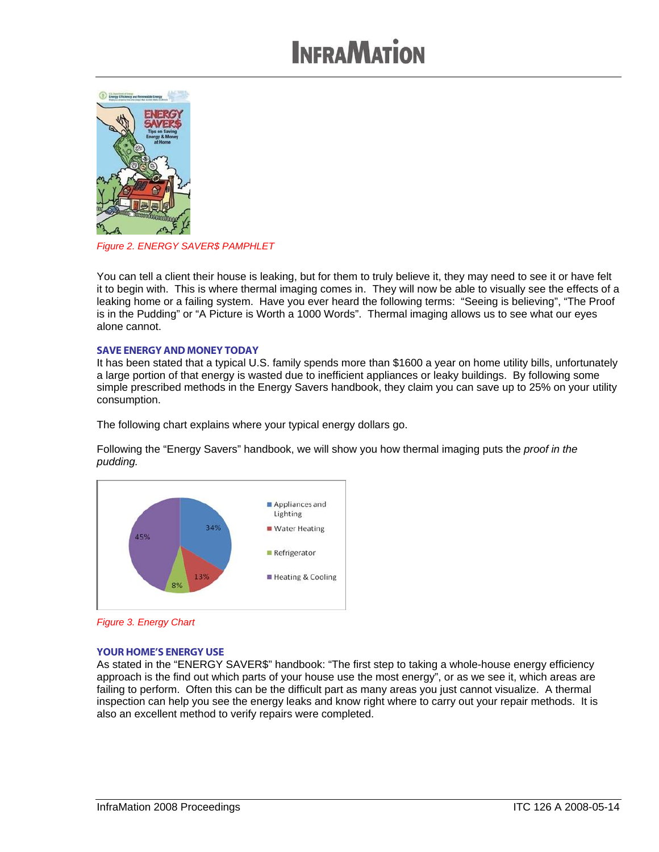

*Figure 2. ENERGY SAVER\$ PAMPHLET*

You can tell a client their house is leaking, but for them to truly believe it, they may need to see it or have felt it to begin with. This is where thermal imaging comes in. They will now be able to visually see the effects of a leaking home or a failing system. Have you ever heard the following terms: "Seeing is believing", "The Proof is in the Pudding" or "A Picture is Worth a 1000 Words". Thermal imaging allows us to see what our eyes alone cannot.

#### SAVE ENERGY AND MONEY TODAY

It has been stated that a typical U.S. family spends more than \$1600 a year on home utility bills, unfortunately a large portion of that energy is wasted due to inefficient appliances or leaky buildings. By following some simple prescribed methods in the Energy Savers handbook, they claim you can save up to 25% on your utility consumption.

The following chart explains where your typical energy dollars go.

Following the "Energy Savers" handbook, we will show you how thermal imaging puts the *proof in the pudding.* 



*Figure 3. Energy Chart* 

### YOUR HOME'S ENERGY USE

As stated in the "ENERGY SAVER\$" handbook: "The first step to taking a whole-house energy efficiency approach is the find out which parts of your house use the most energy", or as we see it, which areas are failing to perform. Often this can be the difficult part as many areas you just cannot visualize. A thermal inspection can help you see the energy leaks and know right where to carry out your repair methods. It is also an excellent method to verify repairs were completed.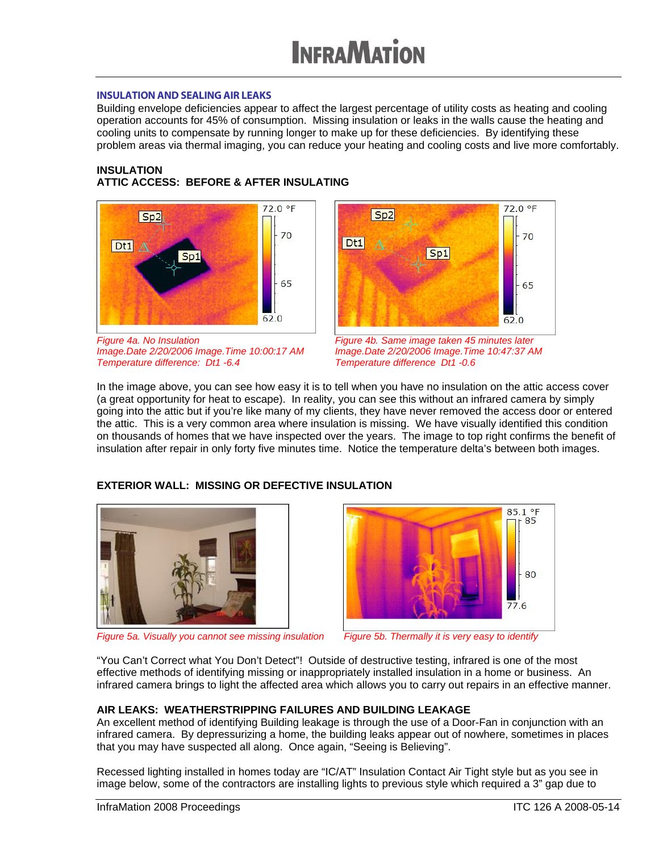### INSULATION AND SEALING AIR LEAKS

Building envelope deficiencies appear to affect the largest percentage of utility costs as heating and cooling operation accounts for 45% of consumption. Missing insulation or leaks in the walls cause the heating and cooling units to compensate by running longer to make up for these deficiencies. By identifying these problem areas via thermal imaging, you can reduce your heating and cooling costs and live more comfortably.

### **INSULATION**

### **ATTIC ACCESS: BEFORE & AFTER INSULATING**



*Figure 4a. No Insulation Image.Date 2/20/2006 Image.Time 10:00:17 AM Temperature difference: Dt1 -6.4* 



*Figure 4b. Same image taken 45 minutes later Image.Date 2/20/2006 Image.Time 10:47:37 AM Temperature difference Dt1 -0.6* 

In the image above, you can see how easy it is to tell when you have no insulation on the attic access cover (a great opportunity for heat to escape). In reality, you can see this without an infrared camera by simply going into the attic but if you're like many of my clients, they have never removed the access door or entered the attic. This is a very common area where insulation is missing. We have visually identified this condition on thousands of homes that we have inspected over the years. The image to top right confirms the benefit of insulation after repair in only forty five minutes time. Notice the temperature delta's between both images.

### **EXTERIOR WALL: MISSING OR DEFECTIVE INSULATION**



*Figure 5a. Visually you cannot see missing insulation Figure 5b. Thermally it is very easy to identify* 



"You Can't Correct what You Don't Detect"! Outside of destructive testing, infrared is one of the most effective methods of identifying missing or inappropriately installed insulation in a home or business. An infrared camera brings to light the affected area which allows you to carry out repairs in an effective manner.

### **AIR LEAKS: WEATHERSTRIPPING FAILURES AND BUILDING LEAKAGE**

An excellent method of identifying Building leakage is through the use of a Door-Fan in conjunction with an infrared camera. By depressurizing a home, the building leaks appear out of nowhere, sometimes in places that you may have suspected all along. Once again, "Seeing is Believing".

Recessed lighting installed in homes today are "IC/AT" Insulation Contact Air Tight style but as you see in image below, some of the contractors are installing lights to previous style which required a 3" gap due to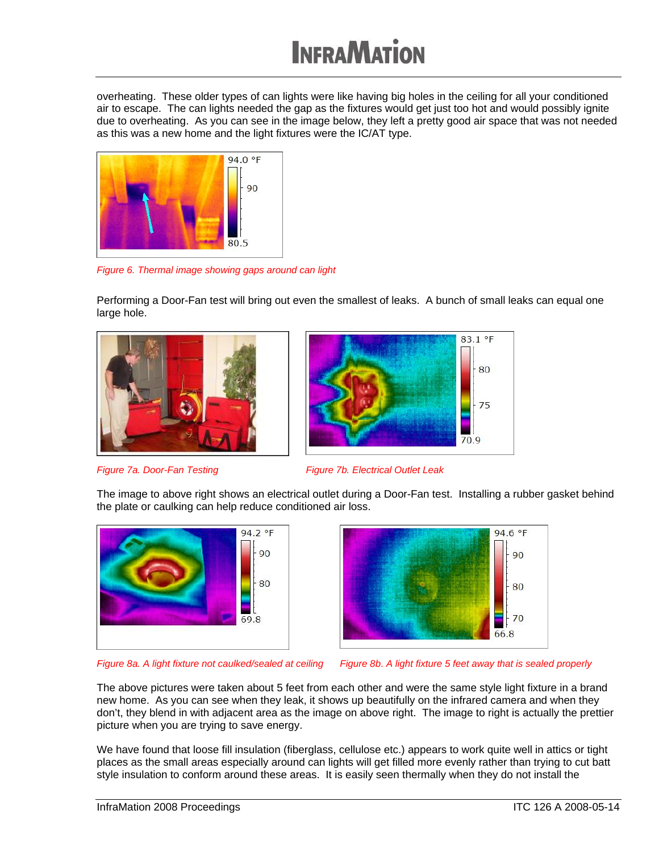overheating. These older types of can lights were like having big holes in the ceiling for all your conditioned air to escape. The can lights needed the gap as the fixtures would get just too hot and would possibly ignite due to overheating. As you can see in the image below, they left a pretty good air space that was not needed as this was a new home and the light fixtures were the IC/AT type.



*Figure 6. Thermal image showing gaps around can light*

Performing a Door-Fan test will bring out even the smallest of leaks. A bunch of small leaks can equal one large hole.





**Figure 7a. Door-Fan Testing Figure 7b. Electrical Outlet Leak** 

The image to above right shows an electrical outlet during a Door-Fan test. Installing a rubber gasket behind the plate or caulking can help reduce conditioned air loss.





*Figure 8a. A light fixture not caulked/sealed at ceiling Figure 8b*. *A light fixture 5 feet away that is sealed properly*

The above pictures were taken about 5 feet from each other and were the same style light fixture in a brand new home. As you can see when they leak, it shows up beautifully on the infrared camera and when they don't, they blend in with adjacent area as the image on above right. The image to right is actually the prettier picture when you are trying to save energy.

We have found that loose fill insulation (fiberglass, cellulose etc.) appears to work quite well in attics or tight places as the small areas especially around can lights will get filled more evenly rather than trying to cut batt style insulation to conform around these areas. It is easily seen thermally when they do not install the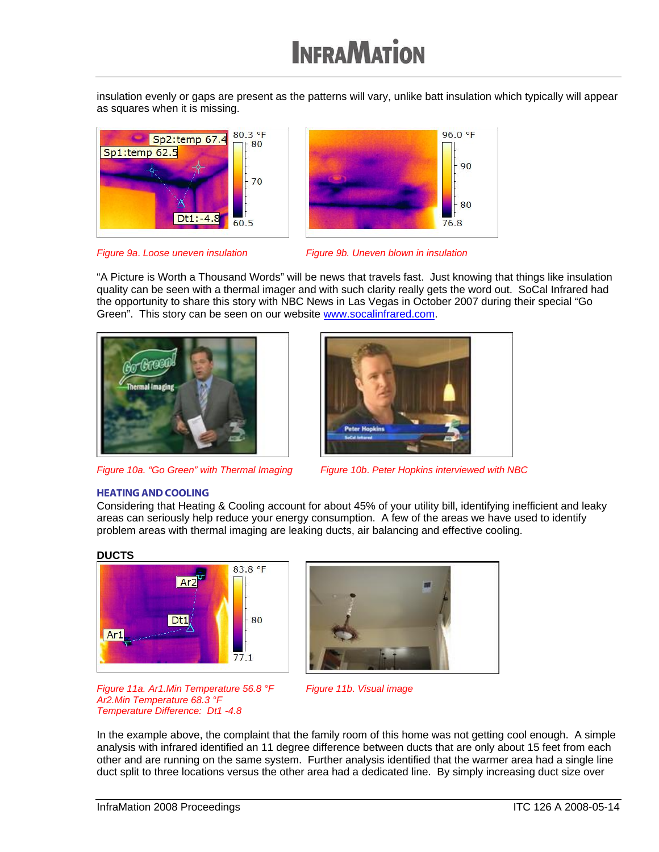insulation evenly or gaps are present as the patterns will vary, unlike batt insulation which typically will appear as squares when it is missing.







"A Picture is Worth a Thousand Words" will be news that travels fast. Just knowing that things like insulation quality can be seen with a thermal imager and with such clarity really gets the word out. SoCal Infrared had the opportunity to share this story with NBC News in Las Vegas in October 2007 during their special "Go Green". This story can be seen on our website www.socalinfrared.com.





*Figure 10a. "Go Green" with Thermal Imaging Figure 10b*. *Peter Hopkins interviewed with NBC*

### HEATING AND COOLING

Considering that Heating & Cooling account for about 45% of your utility bill, identifying inefficient and leaky areas can seriously help reduce your energy consumption. A few of the areas we have used to identify problem areas with thermal imaging are leaking ducts, air balancing and effective cooling.

### **DUCTS**





*Figure 11a. Ar1.Min Temperature 56.8 °F Ar2.Min Temperature 68.3 °F Temperature Difference: Dt1 -4.8* 

*Figure 11b*. *Visual image*

In the example above, the complaint that the family room of this home was not getting cool enough. A simple analysis with infrared identified an 11 degree difference between ducts that are only about 15 feet from each other and are running on the same system. Further analysis identified that the warmer area had a single line duct split to three locations versus the other area had a dedicated line. By simply increasing duct size over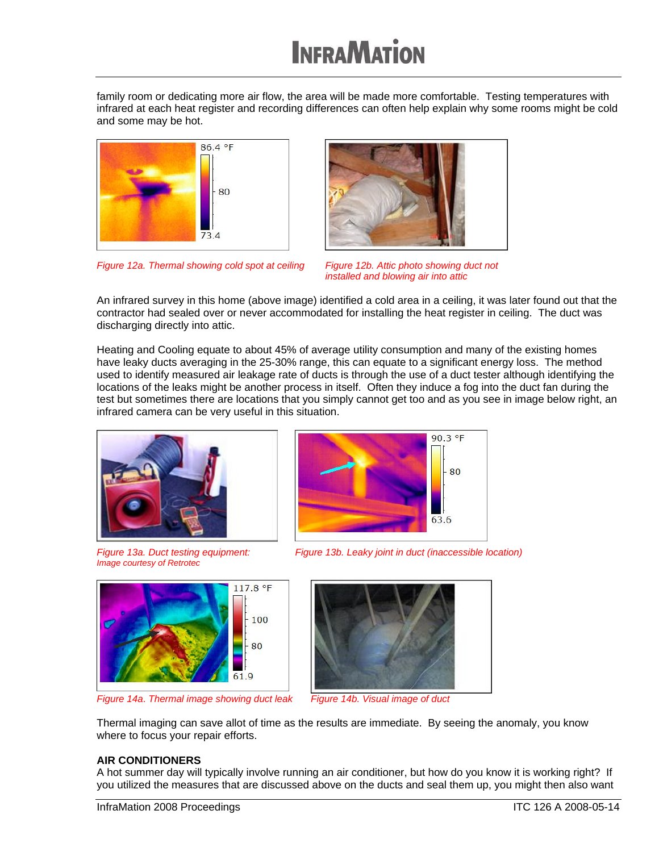family room or dedicating more air flow, the area will be made more comfortable. Testing temperatures with infrared at each heat register and recording differences can often help explain why some rooms might be cold and some may be hot.







*installed and blowing air into attic*

An infrared survey in this home (above image) identified a cold area in a ceiling, it was later found out that the contractor had sealed over or never accommodated for installing the heat register in ceiling. The duct was discharging directly into attic.

Heating and Cooling equate to about 45% of average utility consumption and many of the existing homes have leaky ducts averaging in the 25-30% range, this can equate to a significant energy loss. The method used to identify measured air leakage rate of ducts is through the use of a duct tester although identifying the locations of the leaks might be another process in itself. Often they induce a fog into the duct fan during the test but sometimes there are locations that you simply cannot get too and as you see in image below right, an infrared camera can be very useful in this situation.



*Figure 13a. Duct testing equipment: Image courtesy of Retrotec* 



*Figure 13b. Leaky joint in duct (inaccessible location)*



*Figure 14a*. *Thermal image showing duct leak Figure 14b. Visual image of duct*



Thermal imaging can save allot of time as the results are immediate. By seeing the anomaly, you know where to focus your repair efforts.

### **AIR CONDITIONERS**

A hot summer day will typically involve running an air conditioner, but how do you know it is working right? If you utilized the measures that are discussed above on the ducts and seal them up, you might then also want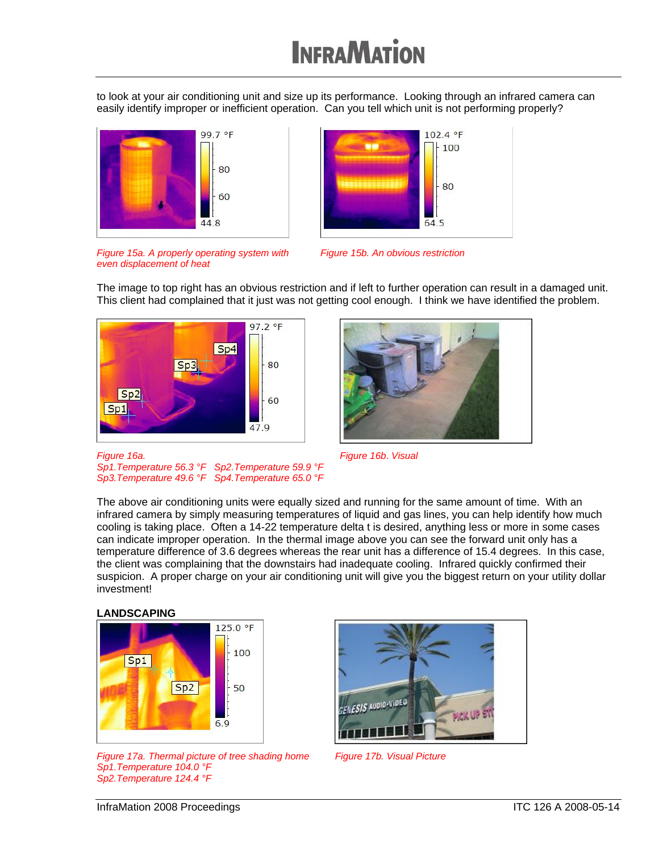to look at your air conditioning unit and size up its performance. Looking through an infrared camera can easily identify improper or inefficient operation. Can you tell which unit is not performing properly?





*Figure 15a. A properly operating system with even displacement of heat* 

*Figure 15b. An obvious restriction*

The image to top right has an obvious restriction and if left to further operation can result in a damaged unit. This client had complained that it just was not getting cool enough. I think we have identified the problem.



*Sp1.Temperature 56.3 °F Sp2.Temperature 59.9 °F Sp3.Temperature 49.6 °F Sp4.Temperature 65.0 °F* 



*Figure 16b*. *Visual*

The above air conditioning units were equally sized and running for the same amount of time. With an infrared camera by simply measuring temperatures of liquid and gas lines, you can help identify how much cooling is taking place. Often a 14-22 temperature delta t is desired, anything less or more in some cases can indicate improper operation. In the thermal image above you can see the forward unit only has a temperature difference of 3.6 degrees whereas the rear unit has a difference of 15.4 degrees. In this case, the client was complaining that the downstairs had inadequate cooling. Infrared quickly confirmed their suspicion. A proper charge on your air conditioning unit will give you the biggest return on your utility dollar investment!

### **LANDSCAPING**

*Figure 16a.* 



*Figure 17a. Thermal picture of tree shading home Sp1.Temperature 104.0 °F Sp2.Temperature 124.4 °F* 



*Figure 17b. Visual Picture*

InfraMation 2008 Proceedings **ITC 126 A 2008-05-14**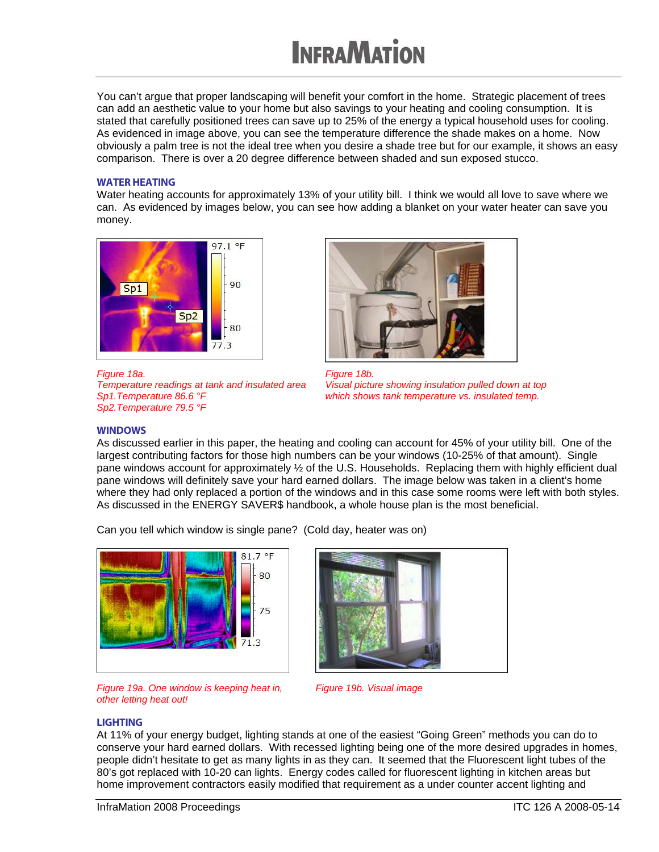You can't argue that proper landscaping will benefit your comfort in the home. Strategic placement of trees can add an aesthetic value to your home but also savings to your heating and cooling consumption. It is stated that carefully positioned trees can save up to 25% of the energy a typical household uses for cooling. As evidenced in image above, you can see the temperature difference the shade makes on a home. Now obviously a palm tree is not the ideal tree when you desire a shade tree but for our example, it shows an easy comparison. There is over a 20 degree difference between shaded and sun exposed stucco.

#### WATER HEATING

Water heating accounts for approximately 13% of your utility bill. I think we would all love to save where we can. As evidenced by images below, you can see how adding a blanket on your water heater can save you money.



*Figure 18a. Temperature readings at tank and insulated area Sp1.Temperature 86.6 °F Sp2.Temperature 79.5 °F* 



*Figure 18b. Visual picture showing insulation pulled down at top which shows tank temperature vs. insulated temp.*

#### **WINDOWS**

As discussed earlier in this paper, the heating and cooling can account for 45% of your utility bill. One of the largest contributing factors for those high numbers can be your windows (10-25% of that amount). Single pane windows account for approximately ½ of the U.S. Households. Replacing them with highly efficient dual pane windows will definitely save your hard earned dollars. The image below was taken in a client's home where they had only replaced a portion of the windows and in this case some rooms were left with both styles. As discussed in the ENERGY SAVER\$ handbook, a whole house plan is the most beneficial.

Can you tell which window is single pane? (Cold day, heater was on)







*Figure 19b. Visual image*

#### LIGHTING

At 11% of your energy budget, lighting stands at one of the easiest "Going Green" methods you can do to conserve your hard earned dollars. With recessed lighting being one of the more desired upgrades in homes, people didn't hesitate to get as many lights in as they can. It seemed that the Fluorescent light tubes of the 80's got replaced with 10-20 can lights. Energy codes called for fluorescent lighting in kitchen areas but home improvement contractors easily modified that requirement as a under counter accent lighting and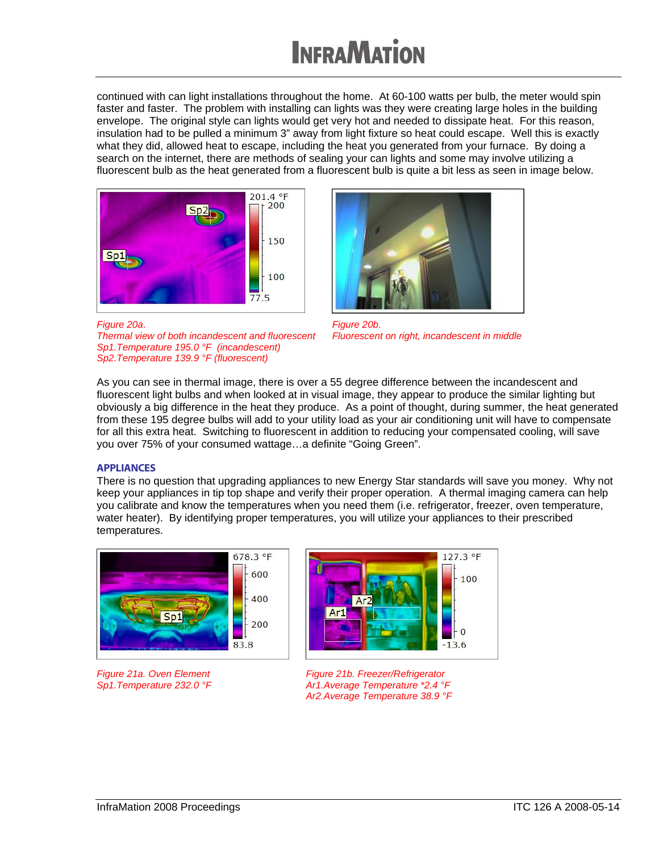continued with can light installations throughout the home. At 60-100 watts per bulb, the meter would spin faster and faster. The problem with installing can lights was they were creating large holes in the building envelope. The original style can lights would get very hot and needed to dissipate heat. For this reason, insulation had to be pulled a minimum 3" away from light fixture so heat could escape. Well this is exactly what they did, allowed heat to escape, including the heat you generated from your furnace. By doing a search on the internet, there are methods of sealing your can lights and some may involve utilizing a fluorescent bulb as the heat generated from a fluorescent bulb is quite a bit less as seen in image below.





*Thermal view of both incandescent and fluorescent Sp1.Temperature 195.0 °F (incandescent) Sp2.Temperature 139.9 °F (fluorescent)*

*Figure 20b*. *Fluorescent on right, incandescent in middle*

As you can see in thermal image, there is over a 55 degree difference between the incandescent and fluorescent light bulbs and when looked at in visual image, they appear to produce the similar lighting but obviously a big difference in the heat they produce. As a point of thought, during summer, the heat generated from these 195 degree bulbs will add to your utility load as your air conditioning unit will have to compensate for all this extra heat. Switching to fluorescent in addition to reducing your compensated cooling, will save you over 75% of your consumed wattage…a definite "Going Green".

### **APPLIANCES**

*Figure 20a*.

There is no question that upgrading appliances to new Energy Star standards will save you money. Why not keep your appliances in tip top shape and verify their proper operation. A thermal imaging camera can help you calibrate and know the temperatures when you need them (i.e. refrigerator, freezer, oven temperature, water heater). By identifying proper temperatures, you will utilize your appliances to their prescribed temperatures.



*Figure 21a. Oven Element Sp1.Temperature 232.0 °F* 



*Figure 21b. Freezer/Refrigerator Ar1.Average Temperature \*2.4 °F Ar2.Average Temperature 38.9 °F*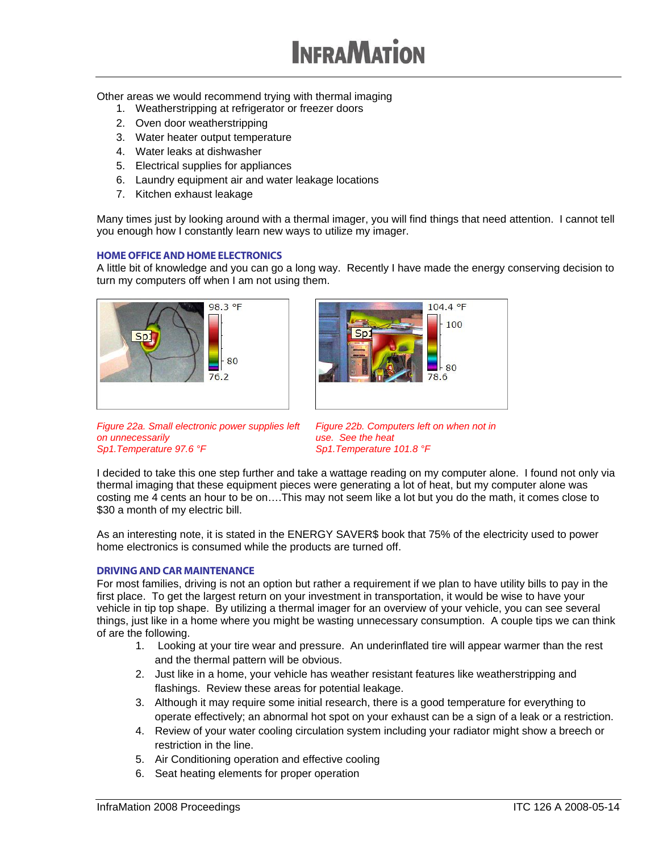Other areas we would recommend trying with thermal imaging

- 1. Weatherstripping at refrigerator or freezer doors
- 2. Oven door weatherstripping
- 3. Water heater output temperature
- 4. Water leaks at dishwasher
- 5. Electrical supplies for appliances
- 6. Laundry equipment air and water leakage locations
- 7. Kitchen exhaust leakage

Many times just by looking around with a thermal imager, you will find things that need attention. I cannot tell you enough how I constantly learn new ways to utilize my imager.

### HOME OFFICE AND HOME ELECTRONICS

A little bit of knowledge and you can go a long way. Recently I have made the energy conserving decision to turn my computers off when I am not using them.





*Figure 22a. Small electronic power supplies left on unnecessarily Sp1.Temperature 97.6 °F* 

*Figure 22b. Computers left on when not in use. See the heat Sp1.Temperature 101.8 °F* 

I decided to take this one step further and take a wattage reading on my computer alone. I found not only via thermal imaging that these equipment pieces were generating a lot of heat, but my computer alone was costing me 4 cents an hour to be on….This may not seem like a lot but you do the math, it comes close to \$30 a month of my electric bill.

As an interesting note, it is stated in the ENERGY SAVER\$ book that 75% of the electricity used to power home electronics is consumed while the products are turned off.

### DRIVING AND CAR MAINTENANCE

For most families, driving is not an option but rather a requirement if we plan to have utility bills to pay in the first place. To get the largest return on your investment in transportation, it would be wise to have your vehicle in tip top shape. By utilizing a thermal imager for an overview of your vehicle, you can see several things, just like in a home where you might be wasting unnecessary consumption. A couple tips we can think of are the following.

- 1. Looking at your tire wear and pressure. An underinflated tire will appear warmer than the rest and the thermal pattern will be obvious.
- 2. Just like in a home, your vehicle has weather resistant features like weatherstripping and flashings. Review these areas for potential leakage.
- 3. Although it may require some initial research, there is a good temperature for everything to operate effectively; an abnormal hot spot on your exhaust can be a sign of a leak or a restriction.
- 4. Review of your water cooling circulation system including your radiator might show a breech or restriction in the line.
- 5. Air Conditioning operation and effective cooling
- 6. Seat heating elements for proper operation